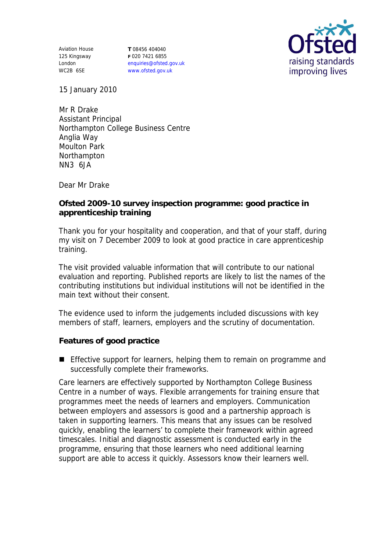Aviation House 125 Kingsway London WC2B 6SE

**T** 08456 404040 **F** 020 7421 6855 enquiries@ofsted.gov.uk www.ofsted.gov.uk



15 January 2010

Mr R Drake Assistant Principal Northampton College Business Centre Anglia Way Moulton Park Northampton NN3 6JA

Dear Mr Drake

**Ofsted 2009-10 survey inspection programme: good practice in apprenticeship training**

Thank you for your hospitality and cooperation, and that of your staff, during my visit on 7 December 2009 to look at good practice in care apprenticeship training.

The visit provided valuable information that will contribute to our national evaluation and reporting. Published reports are likely to list the names of the contributing institutions but individual institutions will not be identified in the main text without their consent.

The evidence used to inform the judgements included discussions with key members of staff, learners, employers and the scrutiny of documentation.

**Features of good practice**

**E** Effective support for learners, helping them to remain on programme and successfully complete their frameworks.

Care learners are effectively supported by Northampton College Business Centre in a number of ways. Flexible arrangements for training ensure that programmes meet the needs of learners and employers. Communication between employers and assessors is good and a partnership approach is taken in supporting learners. This means that any issues can be resolved quickly, enabling the learners' to complete their framework within agreed timescales. Initial and diagnostic assessment is conducted early in the programme, ensuring that those learners who need additional learning support are able to access it quickly. Assessors know their learners well.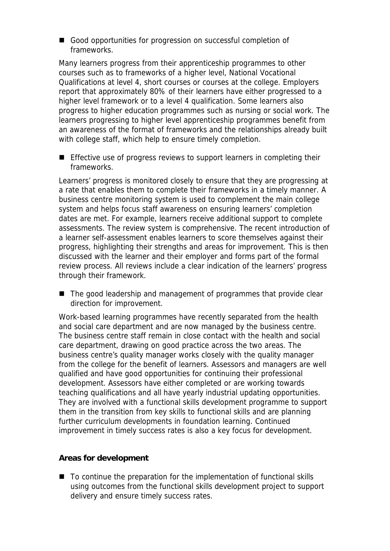Good opportunities for progression on successful completion of frameworks.

Many learners progress from their apprenticeship programmes to other courses such as to frameworks of a higher level, National Vocational Qualifications at level 4, short courses or courses at the college. Employers report that approximately 80% of their learners have either progressed to a higher level framework or to a level 4 qualification. Some learners also progress to higher education programmes such as nursing or social work. The learners progressing to higher level apprenticeship programmes benefit from an awareness of the format of frameworks and the relationships already built with college staff, which help to ensure timely completion.

**Effective use of progress reviews to support learners in completing their** frameworks.

Learners' progress is monitored closely to ensure that they are progressing at a rate that enables them to complete their frameworks in a timely manner. A business centre monitoring system is used to complement the main college system and helps focus staff awareness on ensuring learners' completion dates are met. For example, learners receive additional support to complete assessments. The review system is comprehensive. The recent introduction of a learner self-assessment enables learners to score themselves against their progress, highlighting their strengths and areas for improvement. This is then discussed with the learner and their employer and forms part of the formal review process. All reviews include a clear indication of the learners' progress through their framework.

■ The good leadership and management of programmes that provide clear direction for improvement.

Work-based learning programmes have recently separated from the health and social care department and are now managed by the business centre. The business centre staff remain in close contact with the health and social care department, drawing on good practice across the two areas. The business centre's quality manager works closely with the quality manager from the college for the benefit of learners. Assessors and managers are well qualified and have good opportunities for continuing their professional development. Assessors have either completed or are working towards teaching qualifications and all have yearly industrial updating opportunities. They are involved with a functional skills development programme to support them in the transition from key skills to functional skills and are planning further curriculum developments in foundation learning. Continued improvement in timely success rates is also a key focus for development.

## **Areas for development**

■ To continue the preparation for the implementation of functional skills using outcomes from the functional skills development project to support delivery and ensure timely success rates.